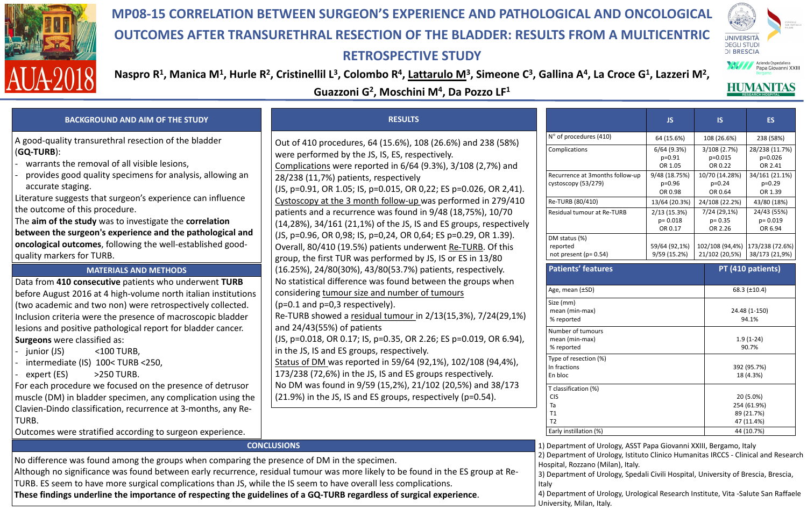### **RESULTS**

- 
- 
- 
- 



# **MP08-15 CORRELATION BETWEEN SURGEON'S EXPERIENCE AND PATHOLOGICAL AND ONCOLOGICAL OUTCOMES AFTER TRANSURETHRAL RESECTION OF THE BLADDER: RESULTS FROM A MULTICENTRIC RETROSPECTIVE STUDY**

## Naspro R<sup>1</sup>, Manica M<sup>1</sup>, Hurle R<sup>2</sup>, Cristinellil L<sup>3</sup>, Colombo R<sup>4</sup>, <u>Lattarulo M</u><sup>3</sup>, Simeone C<sup>3</sup>, Gallina A<sup>4</sup>, La Croce G<sup>1</sup>, Lazzeri M<sup>2</sup>, **Guazzoni G2, Moschini M4, Da Pozzo LF1**

### **BACKGROUND AND AIM OF THE STUDY**

### **MATERIALS AND METHODS**

#### **CONCLUSIONS**

No difference was found among the groups when comparing the presence of DM in the specimen. Although no significance was found between early recurrence, residual tumour was more likely to be found in the ES group at Re-TURB. ES seem to have more surgical complications than JS, while the IS seem to have overall less complications. **These findings underline the importance of respecting the guidelines of a GQ-TURB regardless of surgical experience**.

- warrants the removal of all visible lesions,
- provides good quality specimens for analysis, allowing an accurate staging.

Data from **410 consecutive** patients who underwent **TURB**  before August 2016 at 4 high-volume north italian institutions (two academic and two non) were retrospectively collected. Inclusion criteria were the presence of macroscopic bladder lesions and positive pathological report for bladder cancer. **Surgeons** were classified as:

- junior (JS) <100 TURB,
- intermediate (IS) 100< TURB <250,
- $\text{expert}(\text{ES})$  >250 TURB.

For each procedure we focused on the presence of detrusor muscle (DM) in bladder specimen, any complication using the Clavien-Dindo classification, recurrence at 3-months, any Re-TURB.

Outcomes were stratified according to surgeon experience.

A good-quality transurethral resection of the bladder (**GQ-TURB**):

Literature suggests that surgeon's experience can influence the outcome of this procedure.

The **aim of the study** was to investigate the **correlation between the surgeon's experience and the pathological and oncological outcomes**, following the well-established goodquality markers for TURB.

> Hospital, Rozzano (Milan), Italy. **Italy**

Out of 410 procedures, 64 (15.6%), 108 (26.6%) and 238 (58%) were performed by the JS, IS, ES, respectively. Complications were reported in 6/64 (9.3%), 3/108 (2,7%) and 28/238 (11,7%) patients, respectively (JS, p=0.91, OR 1.05; IS, p=0.015, OR 0,22; ES p=0.026, OR 2,41). Cystoscopy at the 3 month follow-up was performed in 279/410 patients and a recurrence was found in 9/48 (18,75%), 10/70 (14,28%), 34/161 (21,1%) of the JS, IS and ES groups, respectively (JS, p=0.96, OR 0,98; IS, p=0,24, OR 0,64; ES p=0.29, OR 1.39). Overall, 80/410 (19.5%) patients underwent Re-TURB. Of this group, the first TUR was performed by JS, IS or ES in 13/80 (16.25%), 24/80(30%), 43/80(53.7%) patients, respectively. No statistical difference was found between the groups when considering tumour size and number of tumours (p=0.1 and p=0,3 respectively). Re-TURB showed a residual tumour in 2/13(15,3%), 7/24(29,1%) and 24/43(55%) of patients (JS, p=0.018, OR 0.17; IS, p=0.35, OR 2.26; ES p=0.019, OR 6.94), in the JS, IS and ES groups, respectively. Status of DM was reported in 59/64 (92,1%), 102/108 (94,4%), 173/238 (72,6%) in the JS, IS and ES groups respectively. No DM was found in 9/59 (15,2%), 21/102 (20,5%) and 38/173 (21.9%) in the JS, IS and ES groups, respectively (p=0.54).

Recurrence at 3months follow-up cystoscopy (53/279)



DM status (%) reported not present (p= 0.54)

Size (mm) mean (min-max) % reported

Number of tumours mean (min-max) % reported

Type of resection (%) In fractions En bloc

T classification (%) CIS Ta T1 T2

Early instillation (%) 44 (10.7%)

1) Department of Urology, ASST Papa Giovanni XXIII, Bergamo, Italy

2) Department of Urology, Istituto Clinico Humanitas IRCCS - Clinical and Research

3) Department of Urology, Spedali Civili Hospital, University of Brescia, Brescia,

4) Department of Urology, Urological Research Institute, Vita -Salute San Raffaele University, Milan, Italy.



HUMANITAS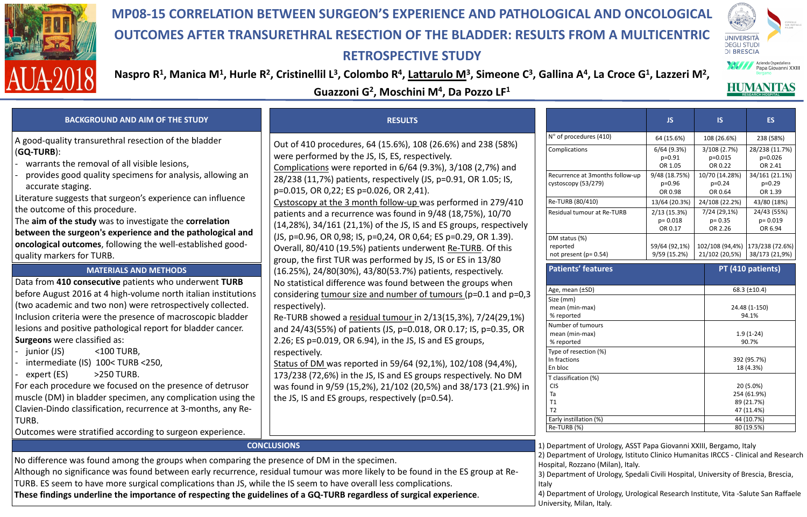### **RESULTS**



# **MP08-15 CORRELATION BETWEEN SURGEON'S EXPERIENCE AND PATHOLOGICAL AND ONCOLOGICAL OUTCOMES AFTER TRANSURETHRAL RESECTION OF THE BLADDER: RESULTS FROM A MULTICENTRIC RETROSPECTIVE STUDY**

## Naspro R<sup>1</sup>, Manica M<sup>1</sup>, Hurle R<sup>2</sup>, Cristinellil L<sup>3</sup>, Colombo R<sup>4</sup>, <u>Lattarulo M</u><sup>3</sup>, Simeone C<sup>3</sup>, Gallina A<sup>4</sup>, La Croce G<sup>1</sup>, Lazzeri M<sup>2</sup>, **Guazzoni G2, Moschini M4, Da Pozzo LF1**

### **BACKGROUND AND AIM OF THE STUDY**

### **MATERIALS AND METHODS**

#### **CONCLUSIONS**

N° of procedures (41

Complications

No difference was found among the groups when comparing the presence of DM in the specimen. Although no significance was found between early recurrence, residual tumour was more likely to be found in the ES group at Re-TURB. ES seem to have more surgical complications than JS, while the IS seem to have overall less complications. **These findings underline the importance of respecting the guidelines of a GQ-TURB regardless of surgical experience**.

- warrants the removal of all visible lesions,
- provides good quality specimens for analysis, allowing an accurate staging.

Data from **410 consecutive** patients who underwent **TURB**  before August 2016 at 4 high-volume north italian institutions (two academic and two non) were retrospectively collected. Inclusion criteria were the presence of macroscopic bladder lesions and positive pathological report for bladder cancer. **Surgeons** were classified as:

- junior (JS) <100 TURB,
- intermediate (IS) 100< TURB <250,
- $expert$  (ES)  $>250$  TURB.

For each procedure we focused on the presence of detrusor muscle (DM) in bladder specimen, any complication using the Clavien-Dindo classification, recurrence at 3-months, any Re-TURB.

Outcomes were stratified according to surgeon experience.

A good-quality transurethral resection of the bladder (**GQ-TURB**):

> Recurrence at 3mont cystoscopy (53/279)

> Re-TURB (80/410) Residual tumour at R

Literature suggests that surgeon's experience can influence the outcome of this procedure.

> DM status (%) reported not present (p= 0.54)

#### **Patients' feature**

The **aim of the study** was to investigate the **correlation between the surgeon's experience and the pathological and oncological outcomes**, following the well-established goodquality markers for TURB.

> Age, mean (±SD) Size (mm) mean (min-max) % reported

Hospital, Rozzano (Milan), Italy. **Italy** 

Out of 410 procedures, 64 (15.6%), 108 (26.6%) and 238 (58%) were performed by the JS, IS, ES, respectively. Complications were reported in 6/64 (9.3%), 3/108 (2,7%) and 28/238 (11,7%) patients, respectively (JS, p=0.91, OR 1.05; IS, p=0.015, OR 0,22; ES p=0.026, OR 2,41). Cystoscopy at the 3 month follow-up was performed in 279/410 patients and a recurrence was found in 9/48 (18,75%), 10/70 (14,28%), 34/161 (21,1%) of the JS, IS and ES groups, respectively (JS, p=0.96, OR 0,98; IS, p=0,24, OR 0,64; ES p=0.29, OR 1.39). Overall, 80/410 (19.5%) patients underwent Re-TURB. Of this group, the first TUR was performed by JS, IS or ES in 13/80 (16.25%), 24/80(30%), 43/80(53.7%) patients, respectively. No statistical difference was found between the groups when considering tumour size and number of tumours (p=0.1 and p=0,3 respectively).

Re-TURB showed a residual tumour in 2/13(15,3%), 7/24(29,1%) and 24/43(55%) of patients (JS, p=0.018, OR 0.17; IS, p=0.35, OR 2.26; ES p=0.019, OR 6.94), in the JS, IS and ES groups, respectively.

Status of DM was reported in 59/64 (92,1%), 102/108 (94,4%), 173/238 (72,6%) in the JS, IS and ES groups respectively. No DM was found in 9/59 (15,2%), 21/102 (20,5%) and 38/173 (21.9%) in the JS, IS and ES groups, respectively (p=0.54).

|                | <b>JS</b>                             | <b>IS</b>                                     |                                              | <b>ES</b>                              |  |
|----------------|---------------------------------------|-----------------------------------------------|----------------------------------------------|----------------------------------------|--|
| .0)            | 64 (15.6%)                            | 108 (26.6%)                                   |                                              | 238 (58%)                              |  |
|                | $6/64$ (9.3%)<br>$p=0.91$<br>OR 1.05  | $3/108$ (2.7%)<br>$p=0.015$<br><b>OR 0.22</b> |                                              | 28/238 (11.7%)<br>$p=0.026$<br>OR 2.41 |  |
| ths follow-up  | 9/48 (18.75%)<br>$p=0.96$<br>OR 0.98  |                                               | 10/70 (14.28%)<br>$p=0.24$<br><b>OR 0.64</b> | 34/161 (21.1%)<br>$p=0.29$<br>OR 1.39  |  |
|                | 13/64 (20.3%)                         | 24/108 (22.2%)                                |                                              | 43/80 (18%)                            |  |
| <b>le-TURB</b> | 2/13(15.3%)<br>$p = 0.018$<br>OR 0.17 | $7/24(29,1\%)$<br>$p = 0.35$<br>OR 2.26       |                                              | 24/43 (55%)<br>$p = 0.019$<br>OR 6.94  |  |
|                | 59/64 (92,1%)<br>9/59(15.2%)          | 102/108 (94,4%)<br>21/102 (20,5%)             |                                              | 173/238 (72.6%)<br>38/173 (21,9%)      |  |
| es             |                                       |                                               |                                              | PT (410 patients)                      |  |
|                |                                       |                                               | 68.3 $(\pm 10.4)$                            |                                        |  |
|                |                                       |                                               | 24.48 (1-150)<br>94.1%                       |                                        |  |
|                |                                       |                                               | $1.9(1-24)$<br>90.7%                         |                                        |  |
|                |                                       |                                               |                                              | 392 (95.7%)<br>18 (4.3%)               |  |
|                |                                       |                                               | 20 (5.0%)<br>254 (61.9%)                     |                                        |  |
|                |                                       |                                               | 89 (21.7%)                                   |                                        |  |
|                |                                       |                                               | 47 (11.4%)<br>44 (10.7%)                     |                                        |  |
|                |                                       |                                               | 80 (19.5%)                                   |                                        |  |

Number of tumours mean (min-max) % reported

Type of resection (%) In fractions

En bloc

T classification (%) CIS Ta T1 T2

Early instillation (%)  $Re$ -TURB $(%)$ 

1) Department of Urology, ASST Papa Giovanni XXIII, Bergamo, Italy

2) Department of Urology, Istituto Clinico Humanitas IRCCS - Clinical and Research

3) Department of Urology, Spedali Civili Hospital, University of Brescia, Brescia,

4) Department of Urology, Urological Research Institute, Vita -Salute San Raffaele University, Milan, Italy.